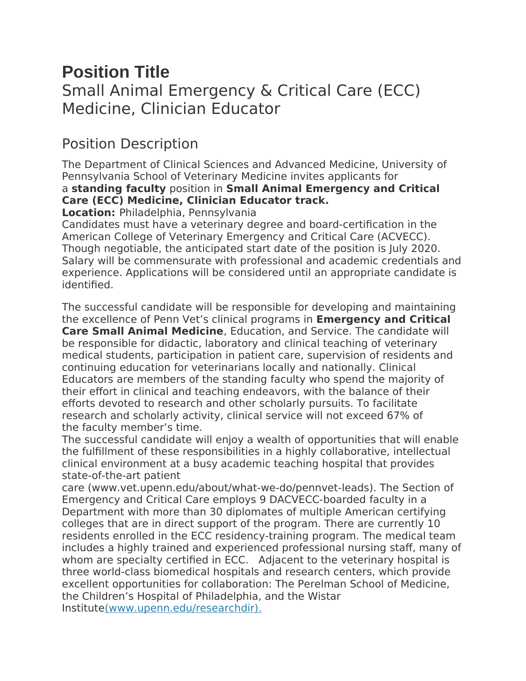# **Position Title** Small Animal Emergency & Critical Care (ECC) Medicine, Clinician Educator

### Position Description

The Department of Clinical Sciences and Advanced Medicine, University of Pennsylvania School of Veterinary Medicine invites applicants for a **standing faculty** position in **Small Animal Emergency and Critical Care (ECC) Medicine, Clinician Educator track.**

**Location:** Philadelphia, Pennsylvania

Candidates must have a veterinary degree and board-certification in the American College of Veterinary Emergency and Critical Care (ACVECC). Though negotiable, the anticipated start date of the position is July 2020. Salary will be commensurate with professional and academic credentials and experience. Applications will be considered until an appropriate candidate is identified.

The successful candidate will be responsible for developing and maintaining the excellence of Penn Vet's clinical programs in **Emergency and Critical Care Small Animal Medicine**, Education, and Service. The candidate will be responsible for didactic, laboratory and clinical teaching of veterinary medical students, participation in patient care, supervision of residents and continuing education for veterinarians locally and nationally. Clinical Educators are members of the standing faculty who spend the majority of their effort in clinical and teaching endeavors, with the balance of their efforts devoted to research and other scholarly pursuits. To facilitate research and scholarly activity, clinical service will not exceed 67% of the faculty member's time.

The successful candidate will enjoy a wealth of opportunities that will enable the fulfillment of these responsibilities in a highly collaborative, intellectual clinical environment at a busy academic teaching hospital that provides state-of-the-art patient

care (www.vet.upenn.edu/about/what-we-do/pennvet-leads). The Section of Emergency and Critical Care employs 9 DACVECC-boarded faculty in a Department with more than 30 diplomates of multiple American certifying colleges that are in direct support of the program. There are currently 10 residents enrolled in the ECC residency-training program. The medical team includes a highly trained and experienced professional nursing staff, many of whom are specialty certified in ECC. Adjacent to the veterinary hospital is three world-class biomedical hospitals and research centers, which provide excellent opportunities for collaboration: The Perelman School of Medicine, the Children's Hospital of Philadelphia, and the Wistar Institute[\(www.upenn.edu/researchdir\).](http://www.upenn.edu/researchdir)